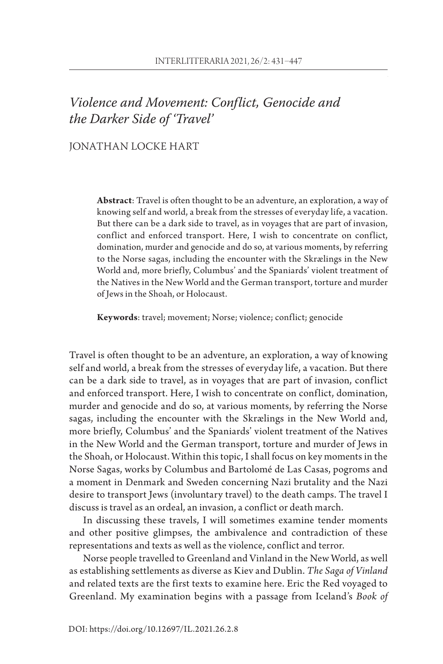# Violence and Movement: Conflict, Genocide and the Darker Side of 'Travel'

## JONATHAN LOCKE HART

**Abstract**: Travel is often thought to be an adventure, an exploration, a way of knowing self and world, a break from the stresses of everyday life, a vacation. But there can be a dark side to travel, as in voyages that are part of invasion, conflict and enforced transport. Here, I wish to concentrate on conflict, domination, murder and genocide and do so, at various moments, by referring to the Norse sagas, including the encounter with the Skrælings in the New World and, more briefly, Columbus' and the Spaniards' violent treatment of the Natives in the New World and the German transport, torture and murder of Jews in the Shoah, or Holocaust.

**Keywords**: travel; movement; Norse; violence; conflict; genocide

Travel is often thought to be an adventure, an exploration, a way of knowing self and world, a break from the stresses of everyday life, a vacation. But there can be a dark side to travel, as in voyages that are part of invasion, conflict and enforced transport. Here, I wish to concentrate on conflict, domination, murder and genocide and do so, at various moments, by referring the Norse sagas, including the encounter with the Skrælings in the New World and, more briefly, Columbus' and the Spaniards' violent treatment of the Natives in the New World and the German transport, torture and murder of Jews in the Shoah, or Holocaust. Within this topic, I shall focus on key moments in the Norse Sagas, works by Columbus and Bartolomé de Las Casas, pogroms and a moment in Denmark and Sweden concerning Nazi brutality and the Nazi desire to transport Jews (involuntary travel) to the death camps. The travel I discuss is travel as an ordeal, an invasion, a conflict or death march.

In discussing these travels, I will sometimes examine tender moments and other positive glimpses, the ambivalence and contradiction of these representations and texts as well as the violence, conflict and terror.

Norse people travelled to Greenland and Vinland in the New World, as well as establishing settlements as diverse as Kiev and Dublin. *The Saga of Vinland* and related texts are the first texts to examine here. Eric the Red voyaged to Greenland. My examination begins with a passage from Iceland's *Book of*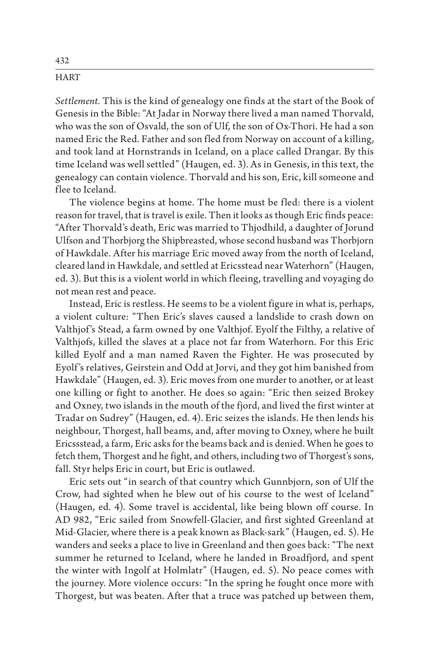*Settlement.* This is the kind of genealogy one finds at the start of the Book of Genesis in the Bible: "At Jadar in Norway there lived a man named Thorvald, who was the son of Osvald, the son of Ulf, the son of Ox-Thori. He had a son named Eric the Red. Father and son fled from Norway on account of a killing, and took land at Hornstrands in Iceland, on a place called Drangar. By this time Iceland was well settled" (Haugen, ed. 3). As in Genesis, in this text, the genealogy can contain violence. Thorvald and his son, Eric, kill someone and flee to Iceland.

The violence begins at home. The home must be fled: there is a violent reason for travel, that is travel is exile. Then it looks as though Eric finds peace: "After Thorvald's death, Eric was married to Thjodhild, a daughter of Jorund Ulfson and Thorbjorg the Shipbreasted, whose second husband was Thorbjorn of Hawkdale. After his marriage Eric moved away from the north of Iceland, cleared land in Hawkdale, and settled at Ericsstead near Waterhorn" (Haugen, ed. 3). But this is a violent world in which fleeing, travelling and voyaging do not mean rest and peace.

Instead, Eric is restless. He seems to be a violent figure in what is, perhaps, a violent culture: "Then Eric's slaves caused a landslide to crash down on Valthjof's Stead, a farm owned by one Valthjof. Eyolf the Filthy, a relative of Valthjofs, killed the slaves at a place not far from Waterhorn. For this Eric killed Eyolf and a man named Raven the Fighter. He was prosecuted by Eyolf 's relatives, Geirstein and Odd at Jorvi, and they got him banished from Hawkdale" (Haugen, ed. 3). Eric moves from one murder to another, or at least one killing or fight to another. He does so again: "Eric then seized Brokey and Oxney, two islands in the mouth of the fjord, and lived the first winter at Tradar on Sudrey" (Haugen, ed. 4). Eric seizes the islands. He then lends his neighbour, Thorgest, hall beams, and, after moving to Oxney, where he built Ericssstead, a farm, Eric asks for the beams back and is denied. When he goes to fetch them, Thorgest and he fight, and others, including two of Thorgest's sons, fall. Styr helps Eric in court, but Eric is outlawed.

Eric sets out "in search of that country which Gunnbjorn, son of Ulf the Crow, had sighted when he blew out of his course to the west of Iceland" (Haugen, ed. 4). Some travel is accidental, like being blown off course. In AD 982, "Eric sailed from Snowfell-Glacier, and first sighted Greenland at Mid-Glacier, where there is a peak known as Black-sark" (Haugen, ed. 5). He wanders and seeks a place to live in Greenland and then goes back: "The next summer he returned to Iceland, where he landed in Broadfjord, and spent the winter with Ingolf at Holmlatr" (Haugen, ed. 5). No peace comes with the journey. More violence occurs: "In the spring he fought once more with Thorgest, but was beaten. After that a truce was patched up between them,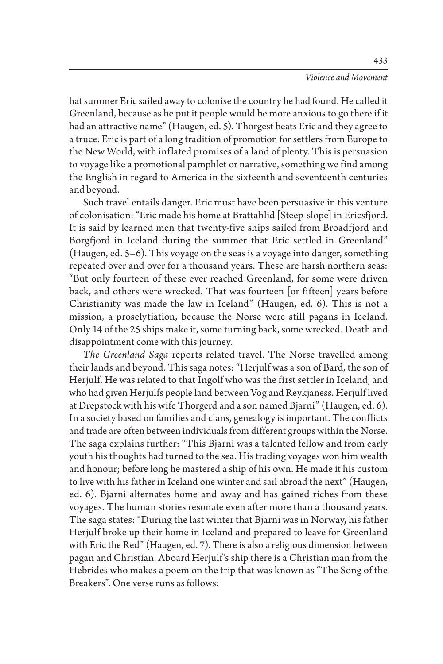hat summer Eric sailed away to colonise the country he had found. He called it Greenland, because as he put it people would be more anxious to go there if it had an attractive name" (Haugen, ed. 5). Thorgest beats Eric and they agree to a truce. Eric is part of a long tradition of promotion for settlers from Europe to the New World, with inflated promises of a land of plenty. This is persuasion to voyage like a promotional pamphlet or narrative, something we find among the English in regard to America in the sixteenth and seventeenth centuries and beyond.

Such travel entails danger. Eric must have been persuasive in this venture of colonisation: "Eric made his home at Brattahlid [Steep-slope] in Ericsfjord. It is said by learned men that twenty-five ships sailed from Broadfjord and Borgfjord in Iceland during the summer that Eric settled in Greenland" (Haugen, ed. 5–6). This voyage on the seas is a voyage into danger, something repeated over and over for a thousand years. These are harsh northern seas: "But only fourteen of these ever reached Greenland, for some were driven back, and others were wrecked. That was fourteen [or fifteen] years before Christianity was made the law in Iceland" (Haugen, ed. 6). This is not a mission, a proselytiation, because the Norse were still pagans in Iceland. Only 14 of the 25 ships make it, some turning back, some wrecked. Death and disappointment come with this journey.

*The Greenland Saga* reports related travel. The Norse travelled among their lands and beyond. This saga notes: "Herjulf was a son of Bard, the son of Herjulf. He was related to that Ingolf who was the first settler in Iceland, and who had given Herjulfs people land between Vog and Reykjaness. Herjulf lived at Drepstock with his wife Thorgerd and a son named Bjarni" (Haugen, ed. 6). In a society based on families and clans, genealogy is important. The conflicts and trade are often between individuals from different groups within the Norse. The saga explains further: "This Bjarni was a talented fellow and from early youth his thoughts had turned to the sea. His trading voyages won him wealth and honour; before long he mastered a ship of his own. He made it his custom to live with his father in Iceland one winter and sail abroad the next" (Haugen, ed. 6). Bjarni alternates home and away and has gained riches from these voyages. The human stories resonate even after more than a thousand years. The saga states: "During the last winter that Bjarni was in Norway, his father Herjulf broke up their home in Iceland and prepared to leave for Greenland with Eric the Red" (Haugen, ed. 7). There is also a religious dimension between pagan and Christian. Aboard Herjulf 's ship there is a Christian man from the Hebrides who makes a poem on the trip that was known as "The Song of the Breakers". One verse runs as follows: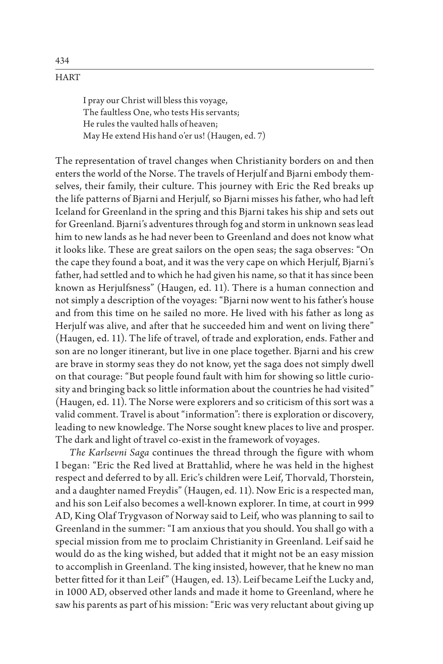I pray our Christ will bless this voyage, The faultless One, who tests His servants; He rules the vaulted halls of heaven; May He extend His hand o'er us! (Haugen, ed. 7)

The representation of travel changes when Christianity borders on and then enters the world of the Norse. The travels of Herjulf and Bjarni embody themselves, their family, their culture. This journey with Eric the Red breaks up the life patterns of Bjarni and Herjulf, so Bjarni misses his father, who had left Iceland for Greenland in the spring and this Bjarni takes his ship and sets out for Greenland. Bjarni's adventures through fog and storm in unknown seas lead him to new lands as he had never been to Greenland and does not know what it looks like. These are great sailors on the open seas; the saga observes: "On the cape they found a boat, and it was the very cape on which Herjulf, Bjarni's father, had settled and to which he had given his name, so that it has since been known as Herjulfsness" (Haugen, ed. 11). There is a human connection and not simply a description of the voyages: "Bjarni now went to his father's house and from this time on he sailed no more. He lived with his father as long as Herjulf was alive, and after that he succeeded him and went on living there" (Haugen, ed. 11). The life of travel, of trade and exploration, ends. Father and son are no longer itinerant, but live in one place together. Bjarni and his crew are brave in stormy seas they do not know, yet the saga does not simply dwell on that courage: "But people found fault with him for showing so little curiosity and bringing back so little information about the countries he had visited" (Haugen, ed. 11). The Norse were explorers and so criticism of this sort was a valid comment. Travel is about "information": there is exploration or discovery, leading to new knowledge. The Norse sought knew places to live and prosper. The dark and light of travel co-exist in the framework of voyages.

*The Karlsevni Saga* continues the thread through the figure with whom I began: "Eric the Red lived at Brattahlid, where he was held in the highest respect and deferred to by all. Eric's children were Leif, Thorvald, Thorstein, and a daughter named Freydis" (Haugen, ed. 11). Now Eric is a respected man, and his son Leif also becomes a well-known explorer. In time, at court in 999 AD, King Olaf Trygvason of Norway said to Leif, who was planning to sail to Greenland in the summer: "I am anxious that you should. You shall go with a special mission from me to proclaim Christianity in Greenland. Leif said he would do as the king wished, but added that it might not be an easy mission to accomplish in Greenland. The king insisted, however, that he knew no man better fitted for it than Leif" (Haugen, ed. 13). Leif became Leif the Lucky and, in 1000 AD, observed other lands and made it home to Greenland, where he saw his parents as part of his mission: "Eric was very reluctant about giving up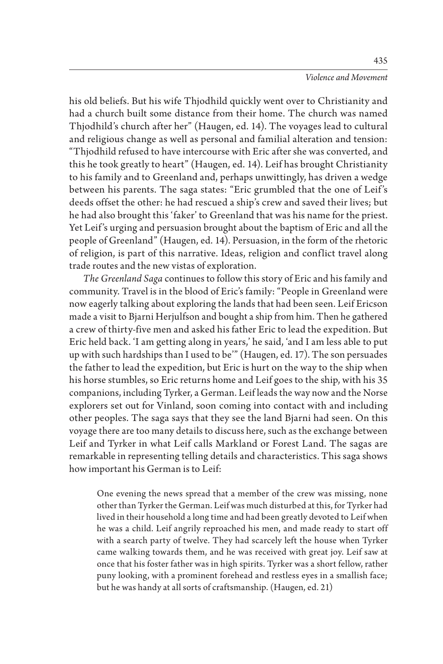### *Violence and Movement*

his old beliefs. But his wife Thjodhild quickly went over to Christianity and had a church built some distance from their home. The church was named Thjodhild's church after her" (Haugen, ed. 14). The voyages lead to cultural and religious change as well as personal and familial alteration and tension: "Thjodhild refused to have intercourse with Eric after she was converted, and this he took greatly to heart" (Haugen, ed. 14). Leif has brought Christianity to his family and to Greenland and, perhaps unwittingly, has driven a wedge between his parents. The saga states: "Eric grumbled that the one of Leif's deeds offset the other: he had rescued a ship's crew and saved their lives; but he had also brought this 'faker' to Greenland that was his name for the priest. Yet Leif's urging and persuasion brought about the baptism of Eric and all the people of Greenland" (Haugen, ed. 14). Persuasion, in the form of the rhetoric of religion, is part of this narrative. Ideas, religion and conflict travel along trade routes and the new vistas of exploration.

*The Greenland Saga* continues to follow this story of Eric and his family and community. Travel is in the blood of Eric's family: "People in Greenland were now eagerly talking about exploring the lands that had been seen. Leif Ericson made a visit to Bjarni Herjulfson and bought a ship from him. Then he gathered a crew of thirty-five men and asked his father Eric to lead the expedition. But Eric held back. 'I am getting along in years,' he said, 'and I am less able to put up with such hardships than I used to be'" (Haugen, ed. 17). The son persuades the father to lead the expedition, but Eric is hurt on the way to the ship when his horse stumbles, so Eric returns home and Leif goes to the ship, with his 35 companions, including Tyrker, a German. Leif leads the way now and the Norse explorers set out for Vinland, soon coming into contact with and including other peoples. The saga says that they see the land Bjarni had seen. On this voyage there are too many details to discuss here, such as the exchange between Leif and Tyrker in what Leif calls Markland or Forest Land. The sagas are remarkable in representing telling details and characteristics. This saga shows how important his German is to Leif:

One evening the news spread that a member of the crew was missing, none other than Tyrker the German. Leif was much disturbed at this, for Tyrker had lived in their household a long time and had been greatly devoted to Leif when he was a child. Leif angrily reproached his men, and made ready to start off with a search party of twelve. They had scarcely left the house when Tyrker came walking towards them, and he was received with great joy. Leif saw at once that his foster father was in high spirits. Tyrker was a short fellow, rather puny looking, with a prominent forehead and restless eyes in a smallish face; but he was handy at all sorts of craftsmanship. (Haugen, ed. 21)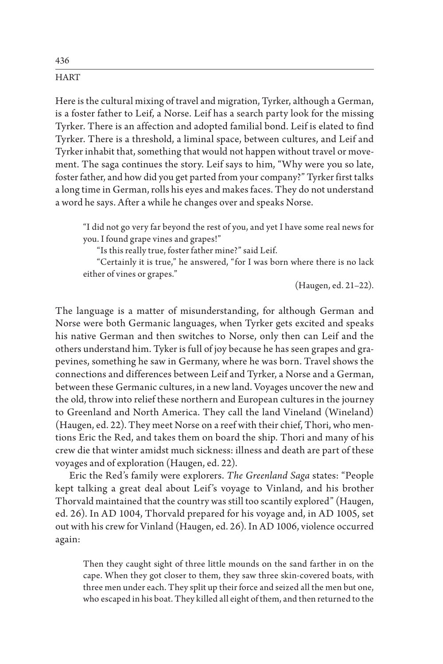Here is the cultural mixing of travel and migration, Tyrker, although a German, is a foster father to Leif, a Norse. Leif has a search party look for the missing Tyrker. There is an affection and adopted familial bond. Leif is elated to find Tyrker. There is a threshold, a liminal space, between cultures, and Leif and Tyrker inhabit that, something that would not happen without travel or movement. The saga continues the story. Leif says to him, "Why were you so late, foster father, and how did you get parted from your company?" Tyrker first talks a long time in German, rolls his eyes and makes faces. They do not understand a word he says. After a while he changes over and speaks Norse.

"I did not go very far beyond the rest of you, and yet I have some real news for you. I found grape vines and grapes!"

"Is this really true, foster father mine?" said Leif.

"Certainly it is true," he answered, "for I was born where there is no lack either of vines or grapes."

(Haugen, ed. 21–22).

The language is a matter of misunderstanding, for although German and Norse were both Germanic languages, when Tyrker gets excited and speaks his native German and then switches to Norse, only then can Leif and the others understand him. Tyker is full of joy because he has seen grapes and grapevines, something he saw in Germany, where he was born. Travel shows the connections and differences between Leif and Tyrker, a Norse and a German, between these Germanic cultures, in a new land. Voyages uncover the new and the old, throw into relief these northern and European cultures in the journey to Greenland and North America. They call the land Vineland (Wineland) (Haugen, ed. 22). They meet Norse on a reef with their chief, Thori, who mentions Eric the Red, and takes them on board the ship. Thori and many of his crew die that winter amidst much sickness: illness and death are part of these voyages and of exploration (Haugen, ed. 22).

Eric the Red's family were explorers. *The Greenland Saga* states: "People kept talking a great deal about Leif 's voyage to Vinland, and his brother Thorvald maintained that the country was still too scantily explored" (Haugen, ed. 26). In AD 1004, Thorvald prepared for his voyage and, in AD 1005, set out with his crew for Vinland (Haugen, ed. 26). In AD 1006, violence occurred again:

Then they caught sight of three little mounds on the sand farther in on the cape. When they got closer to them, they saw three skin-covered boats, with three men under each. They split up their force and seized all the men but one, who escaped in his boat. They killed all eight of them, and then returned to the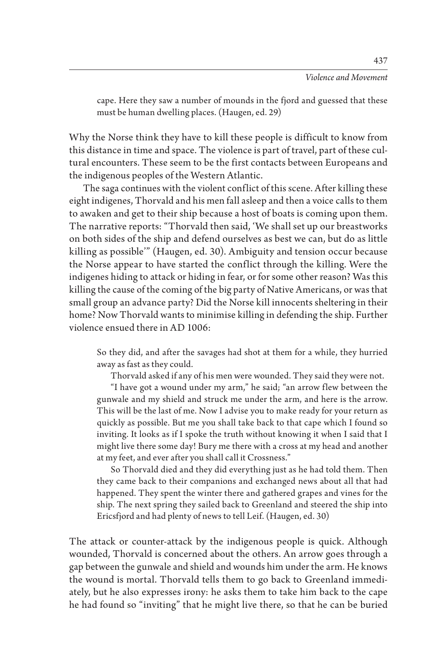cape. Here they saw a number of mounds in the fjord and guessed that these must be human dwelling places. (Haugen, ed. 29)

Why the Norse think they have to kill these people is difficult to know from this distance in time and space. The violence is part of travel, part of these cultural encounters. These seem to be the first contacts between Europeans and the indigenous peoples of the Western Atlantic.

The saga continues with the violent conflict of this scene. After killing these eight indigenes, Thorvald and his men fall asleep and then a voice calls to them to awaken and get to their ship because a host of boats is coming upon them. The narrative reports: "Thorvald then said, 'We shall set up our breastworks on both sides of the ship and defend ourselves as best we can, but do as little killing as possible'" (Haugen, ed. 30). Ambiguity and tension occur because the Norse appear to have started the conflict through the killing. Were the indigenes hiding to attack or hiding in fear, or for some other reason? Was this killing the cause of the coming of the big party of Native Americans, or was that small group an advance party? Did the Norse kill innocents sheltering in their home? Now Thorvald wants to minimise killing in defending the ship. Further violence ensued there in AD 1006:

So they did, and after the savages had shot at them for a while, they hurried away as fast as they could.

Thorvald asked if any of his men were wounded. They said they were not.

"I have got a wound under my arm," he said; "an arrow flew between the gunwale and my shield and struck me under the arm, and here is the arrow. This will be the last of me. Now I advise you to make ready for your return as quickly as possible. But me you shall take back to that cape which I found so inviting. It looks as if I spoke the truth without knowing it when I said that I might live there some day! Bury me there with a cross at my head and another at my feet, and ever after you shall call it Crossness."

So Thorvald died and they did everything just as he had told them. Then they came back to their companions and exchanged news about all that had happened. They spent the winter there and gathered grapes and vines for the ship. The next spring they sailed back to Greenland and steered the ship into Ericsfjord and had plenty of news to tell Leif. (Haugen, ed. 30)

The attack or counter-attack by the indigenous people is quick. Although wounded, Thorvald is concerned about the others. An arrow goes through a gap between the gunwale and shield and wounds him under the arm. He knows the wound is mortal. Thorvald tells them to go back to Greenland immediately, but he also expresses irony: he asks them to take him back to the cape he had found so "inviting" that he might live there, so that he can be buried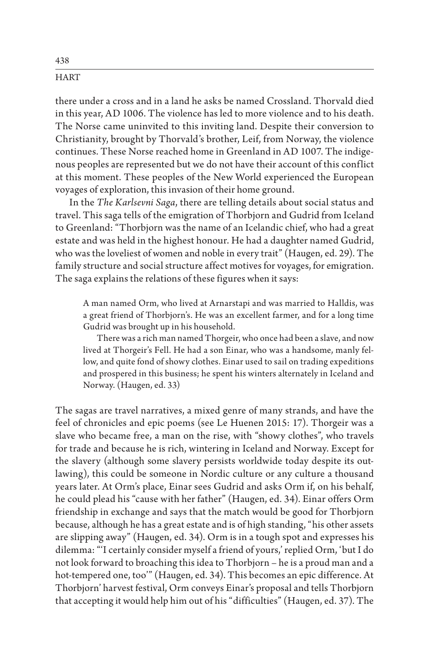there under a cross and in a land he asks be named Crossland. Thorvald died in this year, AD 1006. The violence has led to more violence and to his death. The Norse came uninvited to this inviting land. Despite their conversion to Christianity, brought by Thorvald's brother, Leif, from Norway, the violence continues. These Norse reached home in Greenland in AD 1007. The indigenous peoples are represented but we do not have their account of this conflict at this moment. These peoples of the New World experienced the European voyages of exploration, this invasion of their home ground.

In the *The Karlsevni Saga*, there are telling details about social status and travel. This saga tells of the emigration of Thorbjorn and Gudrid from Iceland to Greenland: "Thorbjorn was the name of an Icelandic chief, who had a great estate and was held in the highest honour. He had a daughter named Gudrid, who was the loveliest of women and noble in every trait" (Haugen, ed. 29). The family structure and social structure affect motives for voyages, for emigration. The saga explains the relations of these figures when it says:

A man named Orm, who lived at Arnarstapi and was married to Halldis, was a great friend of Thorbjorn's. He was an excellent farmer, and for a long time Gudrid was brought up in his household.

There was a rich man named Thorgeir, who once had been a slave, and now lived at Thorgeir's Fell. He had a son Einar, who was a handsome, manly fellow, and quite fond of showy clothes. Einar used to sail on trading expeditions and prospered in this business; he spent his winters alternately in Iceland and Norway. (Haugen, ed. 33)

The sagas are travel narratives, a mixed genre of many strands, and have the feel of chronicles and epic poems (see Le Huenen 2015: 17). Thorgeir was a slave who became free, a man on the rise, with "showy clothes", who travels for trade and because he is rich, wintering in Iceland and Norway. Except for the slavery (although some slavery persists worldwide today despite its outlawing), this could be someone in Nordic culture or any culture a thousand years later. At Orm's place, Einar sees Gudrid and asks Orm if, on his behalf, he could plead his "cause with her father" (Haugen, ed. 34). Einar offers Orm friendship in exchange and says that the match would be good for Thorbjorn because, although he has a great estate and is of high standing, "his other assets are slipping away" (Haugen, ed. 34). Orm is in a tough spot and expresses his dilemma: "'I certainly consider myself a friend of yours,' replied Orm, 'but I do not look forward to broaching this idea to Thorbjorn – he is a proud man and a hot-tempered one, too'" (Haugen, ed. 34). This becomes an epic difference. At Thorbjorn' harvest festival, Orm conveys Einar's proposal and tells Thorbjorn that accepting it would help him out of his "difficulties" (Haugen, ed. 37). The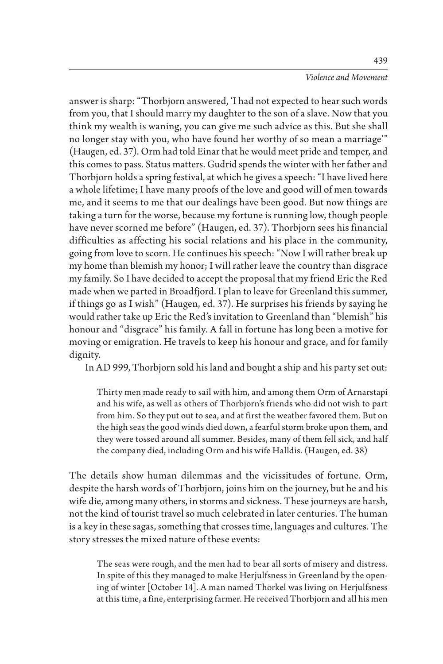answer is sharp: "Thorbjorn answered, 'I had not expected to hear such words from you, that I should marry my daughter to the son of a slave. Now that you think my wealth is waning, you can give me such advice as this. But she shall no longer stay with you, who have found her worthy of so mean a marriage'" (Haugen, ed. 37). Orm had told Einar that he would meet pride and temper, and this comes to pass. Status matters. Gudrid spends the winter with her father and Thorbjorn holds a spring festival, at which he gives a speech: "I have lived here a whole lifetime; I have many proofs of the love and good will of men towards me, and it seems to me that our dealings have been good. But now things are taking a turn for the worse, because my fortune is running low, though people have never scorned me before" (Haugen, ed. 37). Thorbjorn sees his financial difficulties as affecting his social relations and his place in the community, going from love to scorn. He continues his speech: "Now I will rather break up my home than blemish my honor; I will rather leave the country than disgrace my family. So I have decided to accept the proposal that my friend Eric the Red made when we parted in Broadfjord. I plan to leave for Greenland this summer, if things go as I wish" (Haugen, ed. 37). He surprises his friends by saying he would rather take up Eric the Red's invitation to Greenland than "blemish" his honour and "disgrace" his family. A fall in fortune has long been a motive for moving or emigration. He travels to keep his honour and grace, and for family dignity.

In AD 999, Thorbjorn sold his land and bought a ship and his party set out:

Thirty men made ready to sail with him, and among them Orm of Arnarstapi and his wife, as well as others of Thorbjorn's friends who did not wish to part from him. So they put out to sea, and at first the weather favored them. But on the high seas the good winds died down, a fearful storm broke upon them, and they were tossed around all summer. Besides, many of them fell sick, and half the company died, including Orm and his wife Halldis. (Haugen, ed. 38)

The details show human dilemmas and the vicissitudes of fortune. Orm, despite the harsh words of Thorbjorn, joins him on the journey, but he and his wife die, among many others, in storms and sickness. These journeys are harsh, not the kind of tourist travel so much celebrated in later centuries. The human is a key in these sagas, something that crosses time, languages and cultures. The story stresses the mixed nature of these events:

The seas were rough, and the men had to bear all sorts of misery and distress. In spite of this they managed to make Herjulfsness in Greenland by the opening of winter [October 14]. A man named Thorkel was living on Herjulfsness at this time, a fine, enterprising farmer. He received Thorbjorn and all his men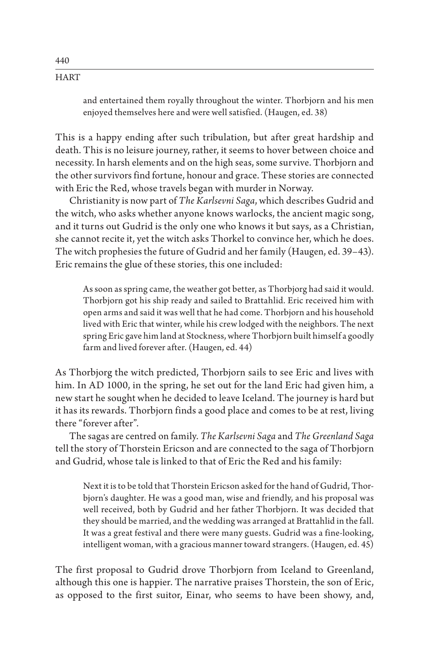and entertained them royally throughout the winter. Thorbjorn and his men enjoyed themselves here and were well satisfied. (Haugen, ed. 38)

This is a happy ending after such tribulation, but after great hardship and death. This is no leisure journey, rather, it seems to hover between choice and necessity. In harsh elements and on the high seas, some survive. Thorbjorn and the other survivors find fortune, honour and grace. These stories are connected with Eric the Red, whose travels began with murder in Norway.

Christianity is now part of *The Karlsevni Saga*, which describes Gudrid and the witch, who asks whether anyone knows warlocks, the ancient magic song, and it turns out Gudrid is the only one who knows it but says, as a Christian, she cannot recite it, yet the witch asks Thorkel to convince her, which he does. The witch prophesies the future of Gudrid and her family (Haugen, ed. 39–43). Eric remains the glue of these stories, this one included:

As soon as spring came, the weather got better, as Thorbjorg had said it would. Thorbjorn got his ship ready and sailed to Brattahlid. Eric received him with open arms and said it was well that he had come. Thorbjorn and his household lived with Eric that winter, while his crew lodged with the neighbors. The next spring Eric gave him land at Stockness, where Thorbjorn built himself a goodly farm and lived forever after. (Haugen, ed. 44)

As Thorbjorg the witch predicted, Thorbjorn sails to see Eric and lives with him. In AD 1000, in the spring, he set out for the land Eric had given him, a new start he sought when he decided to leave Iceland. The journey is hard but it has its rewards. Thorbjorn finds a good place and comes to be at rest, living there "forever after".

The sagas are centred on family. *The Karlsevni Saga* and *The Greenland Saga* tell the story of Thorstein Ericson and are connected to the saga of Thorbjorn and Gudrid, whose tale is linked to that of Eric the Red and his family:

Next it is to be told that Thorstein Ericson asked for the hand of Gudrid, Thorbjorn's daughter. He was a good man, wise and friendly, and his proposal was well received, both by Gudrid and her father Thorbjorn. It was decided that they should be married, and the wedding was arranged at Brattahlid in the fall. It was a great festival and there were many guests. Gudrid was a fine-looking, intelligent woman, with a gracious manner toward strangers. (Haugen, ed. 45)

The first proposal to Gudrid drove Thorbjorn from Iceland to Greenland, although this one is happier. The narrative praises Thorstein, the son of Eric, as opposed to the first suitor, Einar, who seems to have been showy, and,

440 **HART**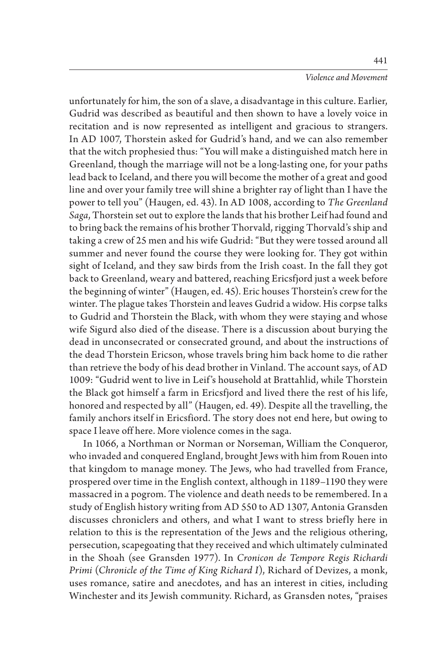unfortunately for him, the son of a slave, a disadvantage in this culture. Earlier, Gudrid was described as beautiful and then shown to have a lovely voice in recitation and is now represented as intelligent and gracious to strangers. In AD 1007, Thorstein asked for Gudrid's hand, and we can also remember that the witch prophesied thus: "You will make a distinguished match here in Greenland, though the marriage will not be a long-lasting one, for your paths lead back to Iceland, and there you will become the mother of a great and good line and over your family tree will shine a brighter ray of light than I have the power to tell you" (Haugen, ed. 43). In AD 1008, according to *The Greenland Saga*, Thorstein set out to explore the lands that his brother Leif had found and to bring back the remains of his brother Thorvald, rigging Thorvald's ship and taking a crew of 25 men and his wife Gudrid: "But they were tossed around all summer and never found the course they were looking for. They got within sight of Iceland, and they saw birds from the Irish coast. In the fall they got back to Greenland, weary and battered, reaching Ericsfjord just a week before the beginning of winter" (Haugen, ed. 45). Eric houses Thorstein's crew for the winter. The plague takes Thorstein and leaves Gudrid a widow. His corpse talks to Gudrid and Thorstein the Black, with whom they were staying and whose wife Sigurd also died of the disease. There is a discussion about burying the dead in unconsecrated or consecrated ground, and about the instructions of the dead Thorstein Ericson, whose travels bring him back home to die rather than retrieve the body of his dead brother in Vinland. The account says, of AD 1009: "Gudrid went to live in Leif 's household at Brattahlid, while Thorstein the Black got himself a farm in Ericsfjord and lived there the rest of his life, honored and respected by all" (Haugen, ed. 49). Despite all the travelling, the family anchors itself in Ericsfiord. The story does not end here, but owing to space I leave off here. More violence comes in the saga.

In 1066, a Northman or Norman or Norseman, William the Conqueror, who invaded and conquered England, brought Jews with him from Rouen into that kingdom to manage money. The Jews, who had travelled from France, prospered over time in the English context, although in 1189–1190 they were massacred in a pogrom. The violence and death needs to be remembered. In a study of English history writing from AD 550 to AD 1307, Antonia Gransden discusses chroniclers and others, and what I want to stress briefly here in relation to this is the representation of the Jews and the religious othering, persecution, scapegoating that they received and which ultimately culminated in the Shoah (see Gransden 1977). In *Cronicon de Tempore Regis Richardi Primi* (*Chronicle of the Time of King Richard I*), Richard of Devizes, a monk, uses romance, satire and anecdotes, and has an interest in cities, including Winchester and its Jewish community. Richard, as Gransden notes, "praises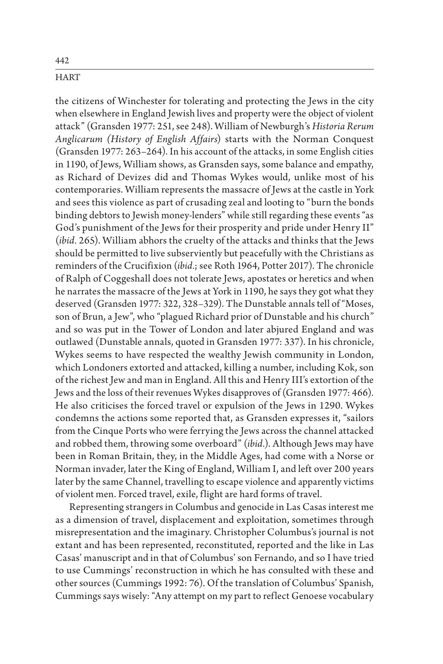the citizens of Winchester for tolerating and protecting the Jews in the city when elsewhere in England Jewish lives and property were the object of violent attack" (Gransden 1977: 251, see 248). William of Newburgh's *Historia Rerum Anglicarum (History of English Affairs*) starts with the Norman Conquest (Gransden 1977: 263–264). In his account of the attacks, in some English cities in 1190, of Jews, William shows, as Gransden says, some balance and empathy, as Richard of Devizes did and Thomas Wykes would, unlike most of his contemporaries. William represents the massacre of Jews at the castle in York and sees this violence as part of crusading zeal and looting to "burn the bonds binding debtors to Jewish money-lenders" while still regarding these events "as God's punishment of the Jews for their prosperity and pride under Henry II" (*ibid.* 265). William abhors the cruelty of the attacks and thinks that the Jews should be permitted to live subserviently but peacefully with the Christians as reminders of the Crucifixion (*ibid.*; see Roth 1964, Potter 2017). The chronicle of Ralph of Coggeshall does not tolerate Jews, apostates or heretics and when he narrates the massacre of the Jews at York in 1190, he says they got what they deserved (Gransden 1977: 322, 328–329). The Dunstable annals tell of "Moses, son of Brun, a Jew", who "plagued Richard prior of Dunstable and his church" and so was put in the Tower of London and later abjured England and was outlawed (Dunstable annals, quoted in Gransden 1977: 337). In his chronicle, Wykes seems to have respected the wealthy Jewish community in London, which Londoners extorted and attacked, killing a number, including Kok, son of the richest Jew and man in England. All this and Henry III's extortion of the Jews and the loss of their revenues Wykes disapproves of (Gransden 1977: 466). He also criticises the forced travel or expulsion of the Jews in 1290. Wykes condemns the actions some reported that, as Gransden expresses it, "sailors from the Cinque Ports who were ferrying the Jews across the channel attacked and robbed them, throwing some overboard" (*ibid.*). Although Jews may have been in Roman Britain, they, in the Middle Ages, had come with a Norse or Norman invader, later the King of England, William I, and left over 200 years later by the same Channel, travelling to escape violence and apparently victims of violent men. Forced travel, exile, flight are hard forms of travel.

Representing strangers in Columbus and genocide in Las Casas interest me as a dimension of travel, displacement and exploitation, sometimes through misrepresentation and the imaginary. Christopher Columbus's journal is not extant and has been represented, reconstituted, reported and the like in Las Casas' manuscript and in that of Columbus' son Fernando, and so I have tried to use Cummings' reconstruction in which he has consulted with these and other sources (Cummings 1992: 76). Of the translation of Columbus' Spanish, Cummings says wisely: "Any attempt on my part to reflect Genoese vocabulary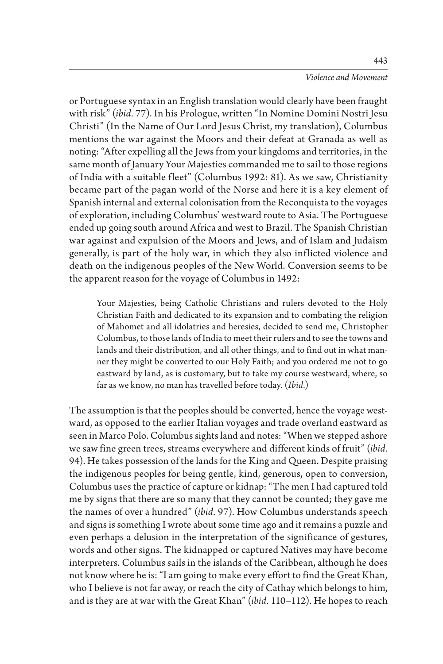or Portuguese syntax in an English translation would clearly have been fraught with risk" (*ibid.* 77). In his Prologue, written "In Nomine Domini Nostri Jesu Christi" (In the Name of Our Lord Jesus Christ, my translation), Columbus mentions the war against the Moors and their defeat at Granada as well as noting: "After expelling all the Jews from your kingdoms and territories, in the same month of January Your Majesties commanded me to sail to those regions of India with a suitable fleet" (Columbus 1992: 81). As we saw, Christianity became part of the pagan world of the Norse and here it is a key element of Spanish internal and external colonisation from the Reconquista to the voyages of exploration, including Columbus' westward route to Asia. The Portuguese ended up going south around Africa and west to Brazil. The Spanish Christian war against and expulsion of the Moors and Jews, and of Islam and Judaism generally, is part of the holy war, in which they also inflicted violence and death on the indigenous peoples of the New World. Conversion seems to be the apparent reason for the voyage of Columbus in 1492:

Your Majesties, being Catholic Christians and rulers devoted to the Holy Christian Faith and dedicated to its expansion and to combating the religion of Mahomet and all idolatries and heresies, decided to send me, Christopher Columbus, to those lands of India to meet their rulers and to see the towns and lands and their distribution, and all other things, and to find out in what manner they might be converted to our Holy Faith; and you ordered me not to go eastward by land, as is customary, but to take my course westward, where, so far as we know, no man has travelled before today. (*Ibid.*)

The assumption is that the peoples should be converted, hence the voyage westward, as opposed to the earlier Italian voyages and trade overland eastward as seen in Marco Polo. Columbus sights land and notes: "When we stepped ashore we saw fine green trees, streams everywhere and different kinds of fruit" (*ibid.* 94). He takes possession of the lands for the King and Queen. Despite praising the indigenous peoples for being gentle, kind, generous, open to conversion, Columbus uses the practice of capture or kidnap: "The men I had captured told me by signs that there are so many that they cannot be counted; they gave me the names of over a hundred" (*ibid.* 97). How Columbus understands speech and signs is something I wrote about some time ago and it remains a puzzle and even perhaps a delusion in the interpretation of the significance of gestures, words and other signs. The kidnapped or captured Natives may have become interpreters. Columbus sails in the islands of the Caribbean, although he does not know where he is: "I am going to make every effort to find the Great Khan, who I believe is not far away, or reach the city of Cathay which belongs to him, and is they are at war with the Great Khan" (*ibid.* 110–112). He hopes to reach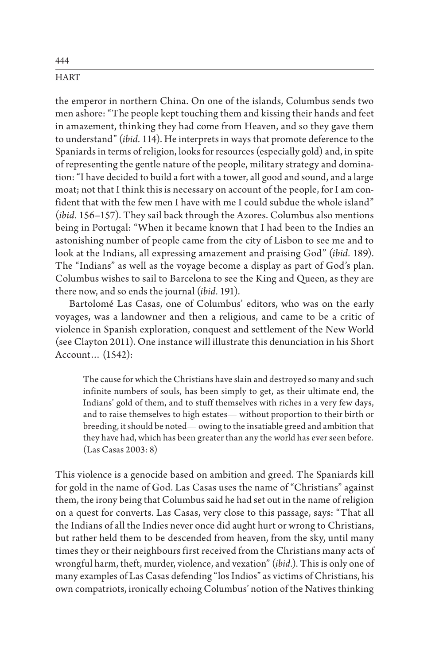the emperor in northern China. On one of the islands, Columbus sends two men ashore: "The people kept touching them and kissing their hands and feet in amazement, thinking they had come from Heaven, and so they gave them to understand" (*ibid.* 114). He interprets in ways that promote deference to the Spaniards in terms of religion, looks for resources (especially gold) and, in spite of representing the gentle nature of the people, military strategy and domination: "I have decided to build a fort with a tower, all good and sound, and a large moat; not that I think this is necessary on account of the people, for I am confident that with the few men I have with me I could subdue the whole island" (*ibid.* 156–157). They sail back through the Azores. Columbus also mentions being in Portugal: "When it became known that I had been to the Indies an astonishing number of people came from the city of Lisbon to see me and to look at the Indians, all expressing amazement and praising God" (*ibid.* 189). The "Indians" as well as the voyage become a display as part of God's plan. Columbus wishes to sail to Barcelona to see the King and Queen, as they are there now, and so ends the journal (*ibid.* 191).

Bartolomé Las Casas, one of Columbus' editors, who was on the early voyages, was a landowner and then a religious, and came to be a critic of violence in Spanish exploration, conquest and settlement of the New World (see Clayton 2011). One instance will illustrate this denunciation in his Short Account… (1542):

The cause for which the Christians have slain and destroyed so many and such infinite numbers of souls, has been simply to get, as their ultimate end, the Indians' gold of them, and to stuff themselves with riches in a very few days, and to raise themselves to high estates— without proportion to their birth or breeding, it should be noted— owing to the insatiable greed and ambition that they have had, which has been greater than any the world has ever seen before. (Las Casas 2003: 8)

This violence is a genocide based on ambition and greed. The Spaniards kill for gold in the name of God. Las Casas uses the name of "Christians" against them, the irony being that Columbus said he had set out in the name of religion on a quest for converts. Las Casas, very close to this passage, says: "That all the Indians of all the Indies never once did aught hurt or wrong to Christians, but rather held them to be descended from heaven, from the sky, until many times they or their neighbours first received from the Christians many acts of wrongful harm, theft, murder, violence, and vexation" (*ibid.*). This is only one of many examples of Las Casas defending "los Indios" as victims of Christians, his own compatriots, ironically echoing Columbus' notion of the Natives thinking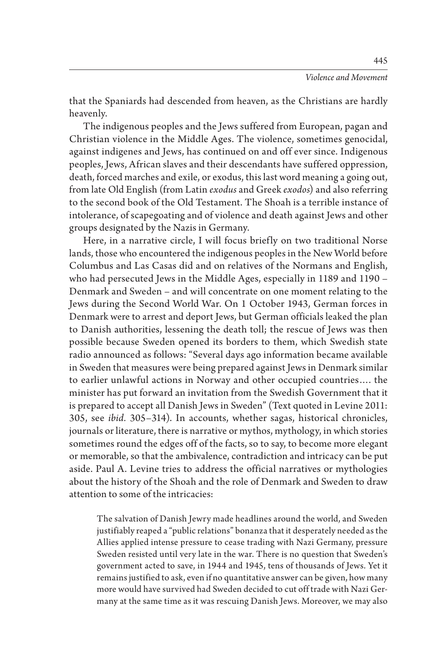that the Spaniards had descended from heaven, as the Christians are hardly

heavenly. The indigenous peoples and the Jews suffered from European, pagan and Christian violence in the Middle Ages. The violence, sometimes genocidal, against indigenes and Jews, has continued on and off ever since. Indigenous peoples, Jews, African slaves and their descendants have suffered oppression, death, forced marches and exile, or exodus, this last word meaning a going out, from late Old English (from Latin *exodus* and Greek *exodos*) and also referring to the second book of the Old Testament. The Shoah is a terrible instance of intolerance, of scapegoating and of violence and death against Jews and other groups designated by the Nazis in Germany.

Here, in a narrative circle, I will focus briefly on two traditional Norse lands, those who encountered the indigenous peoples in the New World before Columbus and Las Casas did and on relatives of the Normans and English, who had persecuted Jews in the Middle Ages, especially in 1189 and 1190 – Denmark and Sweden – and will concentrate on one moment relating to the Jews during the Second World War. On 1 October 1943, German forces in Denmark were to arrest and deport Jews, but German officials leaked the plan to Danish authorities, lessening the death toll; the rescue of Jews was then possible because Sweden opened its borders to them, which Swedish state radio announced as follows: "Several days ago information became available in Sweden that measures were being prepared against Jews in Denmark similar to earlier unlawful actions in Norway and other occupied countries…. the minister has put forward an invitation from the Swedish Government that it is prepared to accept all Danish Jews in Sweden" (Text quoted in Levine 2011: 305, see *ibid.* 305–314). In accounts, whether sagas, historical chronicles, journals or literature, there is narrative or mythos, mythology, in which stories sometimes round the edges off of the facts, so to say, to become more elegant or memorable, so that the ambivalence, contradiction and intricacy can be put aside. Paul A. Levine tries to address the official narratives or mythologies about the history of the Shoah and the role of Denmark and Sweden to draw attention to some of the intricacies:

The salvation of Danish Jewry made headlines around the world, and Sweden justifiably reaped a "public relations" bonanza that it desperately needed as the Allies applied intense pressure to cease trading with Nazi Germany, pressure Sweden resisted until very late in the war. There is no question that Sweden's government acted to save, in 1944 and 1945, tens of thousands of Jews. Yet it remains justified to ask, even if no quantitative answer can be given, how many more would have survived had Sweden decided to cut off trade with Nazi Germany at the same time as it was rescuing Danish Jews. Moreover, we may also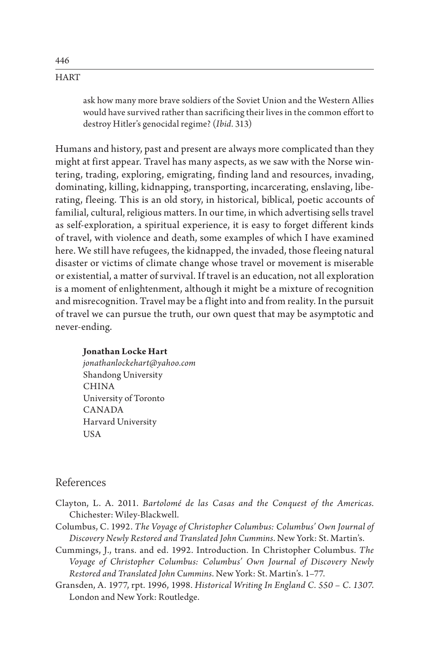ask how many more brave soldiers of the Soviet Union and the Western Allies would have survived rather than sacrificing their lives in the common effort to destroy Hitler's genocidal regime? (*Ibid.* 313)

Humans and history, past and present are always more complicated than they might at first appear. Travel has many aspects, as we saw with the Norse wintering, trading, exploring, emigrating, finding land and resources, invading, dominating, killing, kidnapping, transporting, incarcerating, enslaving, liberating, fleeing. This is an old story, in historical, biblical, poetic accounts of familial, cultural, religious matters. In our time, in which advertising sells travel as self-exploration, a spiritual experience, it is easy to forget different kinds of travel, with violence and death, some examples of which I have examined here. We still have refugees, the kidnapped, the invaded, those fleeing natural disaster or victims of climate change whose travel or movement is miserable or existential, a matter of survival. If travel is an education, not all exploration is a moment of enlightenment, although it might be a mixture of recognition and misrecognition. Travel may be a flight into and from reality. In the pursuit of travel we can pursue the truth, our own quest that may be asymptotic and never-ending.

#### **Jonathan Locke Hart**

*jonathanlockehart@yahoo.com* Shandong University CHINA University of Toronto CANADA Harvard University USA

### References

- Clayton, L. A. 2011. *Bartolomé de las Casas and the Conquest of the Americas.* Chichester: Wiley-Blackwell.
- Columbus, C. 1992. *The Voyage of Christopher Columbus: Columbus' Own Journal of Discovery Newly Restored and Translated John Cummins*. New York: St. Martin's.
- Cummings, J., trans. and ed. 1992. Introduction. In Christopher Columbus. *The Voyage of Christopher Columbus: Columbus' Own Journal of Discovery Newly Restored and Translated John Cummins*. New York: St. Martin's. 1–77.
- Gransden, A. 1977, rpt. 1996, 1998. *Historical Writing In England C. 550 C. 1307*. London and New York: Routledge.

446